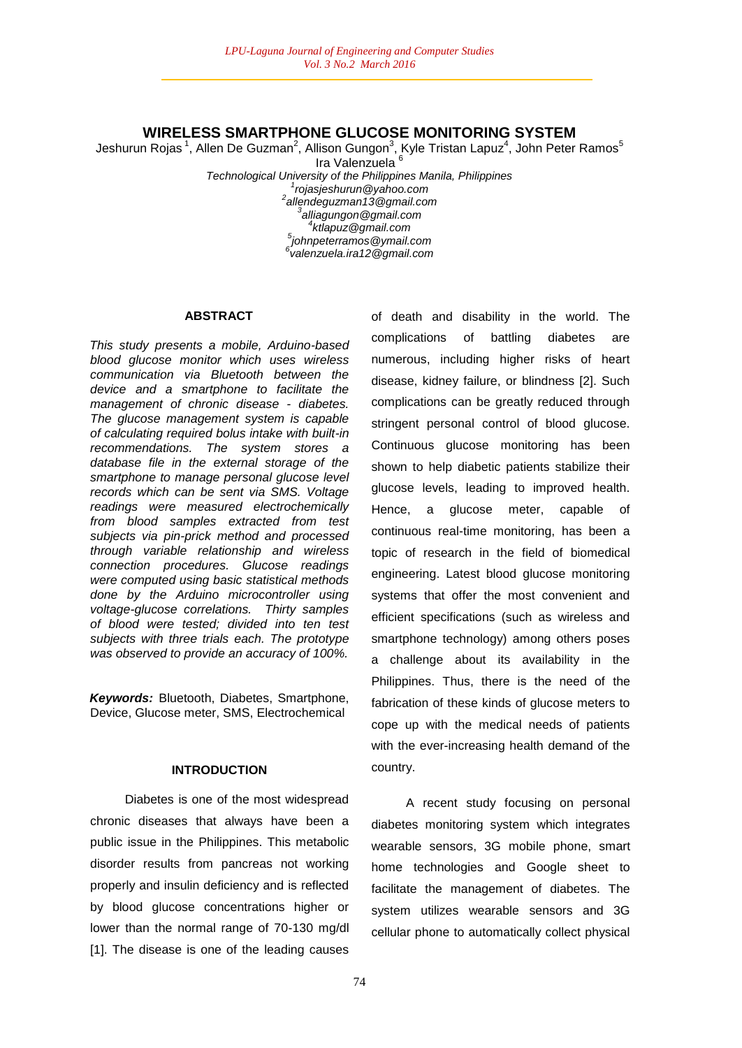## **WIRELESS SMARTPHONE GLUCOSE MONITORING SYSTEM**

Jeshurun Rojas $^1$ , Allen De Guzman $^2$ , Allison Gungon $^3$ , Kyle Tristan Lapuz $^4$ , John Peter Ramos $^5$ 

Ira Valenzuela <sup>6</sup> *Technological University of the Philippines Manila, Philippines rojasjeshurun@yahoo.com allendeguzman13@gmail.com 3 alliagungon@gmail.com ktlapuz@gmail.com johnpeterramos@ymail.com valenzuela.ira12@gmail.com*

#### **ABSTRACT**

*This study presents a mobile, Arduino-based blood glucose monitor which uses wireless communication via Bluetooth between the device and a smartphone to facilitate the management of chronic disease - diabetes. The glucose management system is capable of calculating required bolus intake with built-in recommendations. The system stores a database file in the external storage of the smartphone to manage personal glucose level records which can be sent via SMS. Voltage readings were measured electrochemically from blood samples extracted from test subjects via pin-prick method and processed through variable relationship and wireless connection procedures. Glucose readings were computed using basic statistical methods done by the Arduino microcontroller using voltage-glucose correlations. Thirty samples of blood were tested; divided into ten test subjects with three trials each. The prototype was observed to provide an accuracy of 100%.*

*Keywords:* Bluetooth, Diabetes, Smartphone, Device, Glucose meter, SMS, Electrochemical

## **INTRODUCTION**

Diabetes is one of the most widespread chronic diseases that always have been a public issue in the Philippines. This metabolic disorder results from pancreas not working properly and insulin deficiency and is reflected by blood glucose concentrations higher or lower than the normal range of 70-130 mg/dl [1]. The disease is one of the leading causes of death and disability in the world. The complications of battling diabetes are numerous, including higher risks of heart disease, kidney failure, or blindness [2]. Such complications can be greatly reduced through stringent personal control of blood glucose. Continuous glucose monitoring has been shown to help diabetic patients stabilize their glucose levels, leading to improved health. Hence, a glucose meter, capable of continuous real-time monitoring, has been a topic of research in the field of biomedical engineering. Latest blood glucose monitoring systems that offer the most convenient and efficient specifications (such as wireless and smartphone technology) among others poses a challenge about its availability in the Philippines. Thus, there is the need of the fabrication of these kinds of glucose meters to cope up with the medical needs of patients with the ever-increasing health demand of the country.

A recent study focusing on personal diabetes monitoring system which integrates wearable sensors, 3G mobile phone, smart home technologies and Google sheet to facilitate the management of diabetes. The system utilizes wearable sensors and 3G cellular phone to automatically collect physical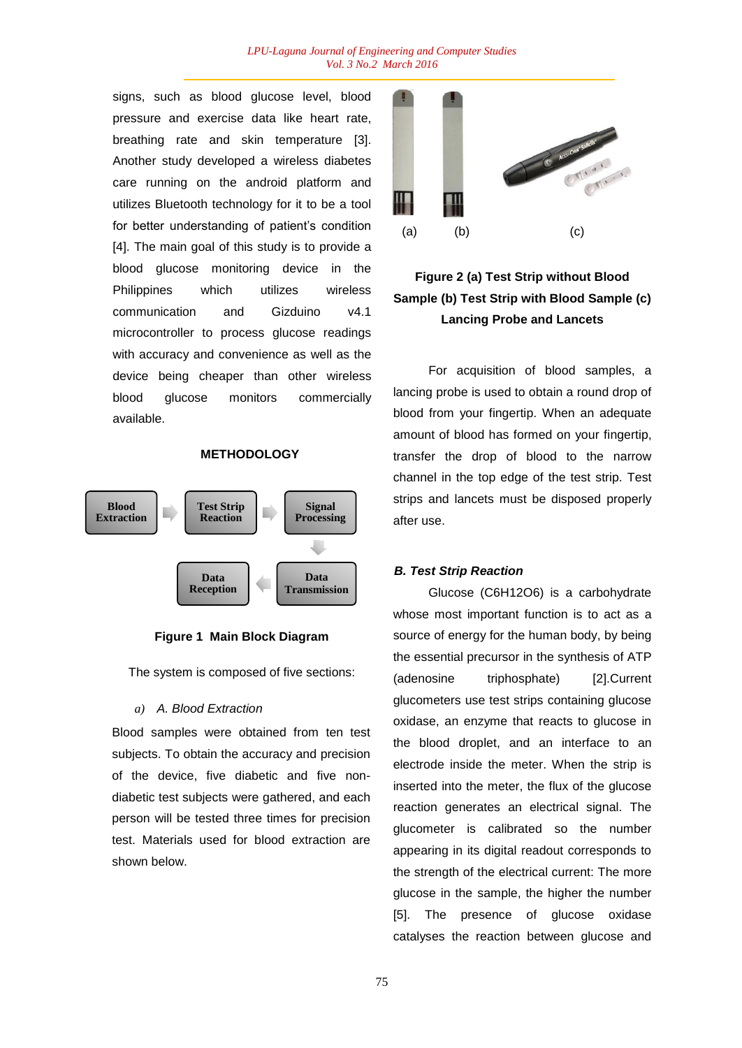#### *LPU-Laguna Journal of Engineering and Computer Studies Vol. 3 No.2 March 2016*

signs, such as blood glucose level, blood pressure and exercise data like heart rate, breathing rate and skin temperature [3]. Another study developed a wireless diabetes care running on the android platform and utilizes Bluetooth technology for it to be a tool for better understanding of patient's condition [4]. The main goal of this study is to provide a blood glucose monitoring device in the Philippines which utilizes wireless communication and Gizduino v4.1 microcontroller to process glucose readings with accuracy and convenience as well as the device being cheaper than other wireless blood glucose monitors commercially available.

#### **METHODOLOGY**



**Figure 1 Main Block Diagram**

The system is composed of five sections:

*a) A. Blood Extraction*

Blood samples were obtained from ten test subjects. To obtain the accuracy and precision of the device, five diabetic and five nondiabetic test subjects were gathered, and each person will be tested three times for precision test. Materials used for blood extraction are shown below.



# **Figure 2 (a) Test Strip without Blood Sample (b) Test Strip with Blood Sample (c) Lancing Probe and Lancets**

For acquisition of blood samples, a lancing probe is used to obtain a round drop of blood from your fingertip. When an adequate amount of blood has formed on your fingertip, transfer the drop of blood to the narrow channel in the top edge of the test strip. Test strips and lancets must be disposed properly after use.

#### *B. Test Strip Reaction*

Glucose (C6H12O6) is a carbohydrate whose most important function is to act as a source of energy for the human body, by being the essential precursor in the synthesis of ATP (adenosine triphosphate) [2].Current glucometers use test strips containing glucose oxidase, an enzyme that reacts to glucose in the blood droplet, and an interface to an electrode inside the meter. When the strip is inserted into the meter, the flux of the glucose reaction generates an electrical signal. The glucometer is calibrated so the number appearing in its digital readout corresponds to the strength of the electrical current: The more glucose in the sample, the higher the number [5]. The presence of glucose oxidase catalyses the reaction between glucose and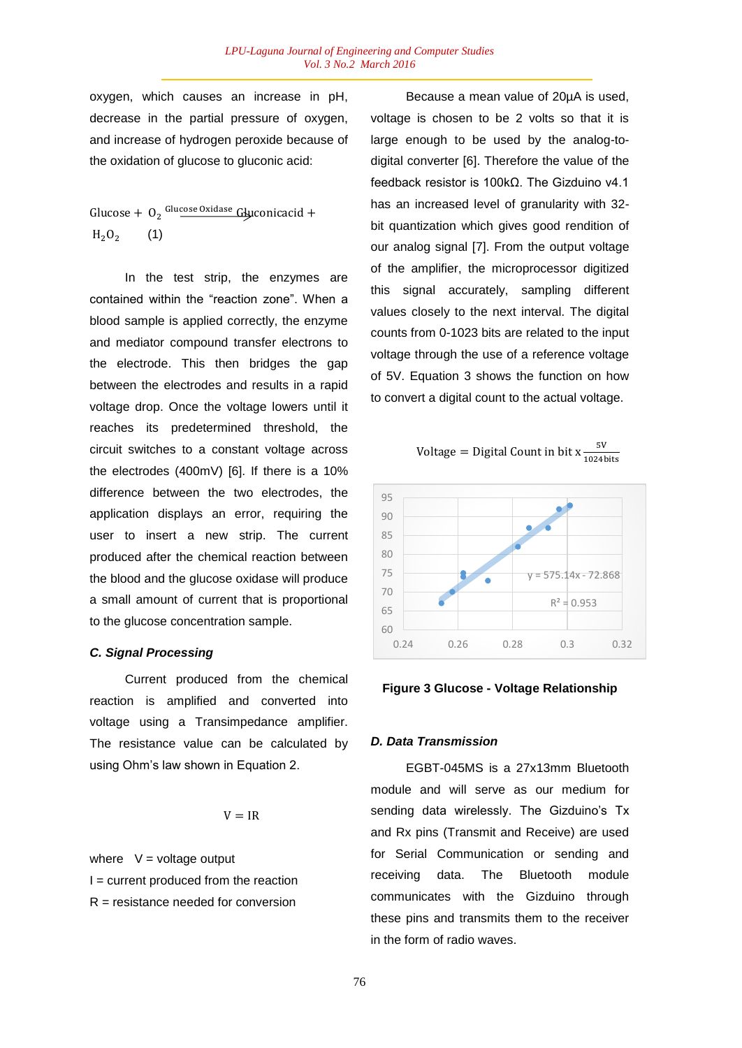oxygen, which causes an increase in pH, decrease in the partial pressure of oxygen. and increase of hydrogen peroxide because of the oxidation of glucose to gluconic acid:

Glucose +  $O_2$  <sup>Glucose Oxidase</sup> Gluconicacid +  $H<sub>2</sub>O<sub>2</sub>$ (1)

In the test strip, the enzymes are contained within the "reaction zone". When a blood sample is applied correctly, the enzyme and mediator compound transfer electrons to the electrode. This then bridges the gap between the electrodes and results in a rapid voltage drop. Once the voltage lowers until it reaches its predetermined threshold, the circuit switches to a constant voltage across the electrodes (400mV) [6]. If there is a 10% difference between the two electrodes, the application displays an error, requiring the user to insert a new strip. The current produced after the chemical reaction between the blood and the glucose oxidase will produce a small amount of current that is proportional to the glucose concentration sample.

## *C. Signal Processing*

Current produced from the chemical reaction is amplified and converted into voltage using a Transimpedance amplifier. The resistance value can be calculated by using Ohm's law shown in Equation 2.

$$
V = IR
$$

where  $V =$  voltage output  $I =$  current produced from the reaction  $R =$  resistance needed for conversion

Because a mean value of 20µA is used, voltage is chosen to be 2 volts so that it is large enough to be used by the analog-todigital converter [6]. Therefore the value of the feedback resistor is 100kΩ. The Gizduino v4.1 has an increased level of granularity with 32 bit quantization which gives good rendition of our analog signal [7]. From the output voltage of the amplifier, the microprocessor digitized this signal accurately, sampling different values closely to the next interval. The digital counts from 0-1023 bits are related to the input voltage through the use of a reference voltage of 5V. Equation 3 shows the function on how to convert a digital count to the actual voltage.

$$
Voltage = Digital Count in bit x \frac{5V}{1024 bits}
$$





## *D. Data Transmission*

EGBT-045MS is a 27x13mm Bluetooth module and will serve as our medium for sending data wirelessly. The Gizduino's Tx and Rx pins (Transmit and Receive) are used for Serial Communication or sending and receiving data. The Bluetooth module communicates with the Gizduino through these pins and transmits them to the receiver in the form of radio waves.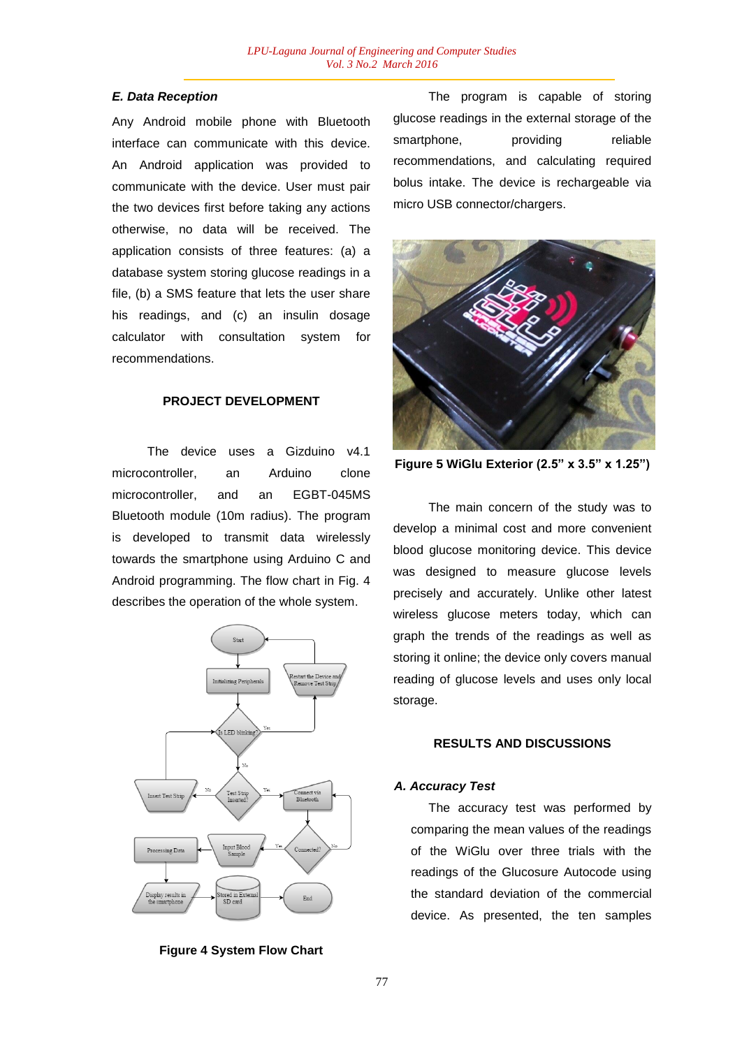## *E. Data Reception*

Any Android mobile phone with Bluetooth interface can communicate with this device. An Android application was provided to communicate with the device. User must pair the two devices first before taking any actions otherwise, no data will be received. The application consists of three features: (a) a database system storing glucose readings in a file, (b) a SMS feature that lets the user share his readings, and (c) an insulin dosage calculator with consultation system for recommendations.

## **PROJECT DEVELOPMENT**

The device uses a Gizduino v4.1 microcontroller, an Arduino clone microcontroller, and an EGBT-045MS Bluetooth module (10m radius). The program is developed to transmit data wirelessly towards the smartphone using Arduino C and Android programming. The flow chart in Fig. 4 describes the operation of the whole system.



**Figure 4 System Flow Chart**

The program is capable of storing glucose readings in the external storage of the smartphone, providing reliable recommendations, and calculating required bolus intake. The device is rechargeable via micro USB connector/chargers.



**Figure 5 WiGlu Exterior (2.5" x 3.5" x 1.25")**

The main concern of the study was to develop a minimal cost and more convenient blood glucose monitoring device. This device was designed to measure glucose levels precisely and accurately. Unlike other latest wireless glucose meters today, which can graph the trends of the readings as well as storing it online; the device only covers manual reading of glucose levels and uses only local storage.

## **RESULTS AND DISCUSSIONS**

#### *A. Accuracy Test*

The accuracy test was performed by comparing the mean values of the readings of the WiGlu over three trials with the readings of the Glucosure Autocode using the standard deviation of the commercial device. As presented, the ten samples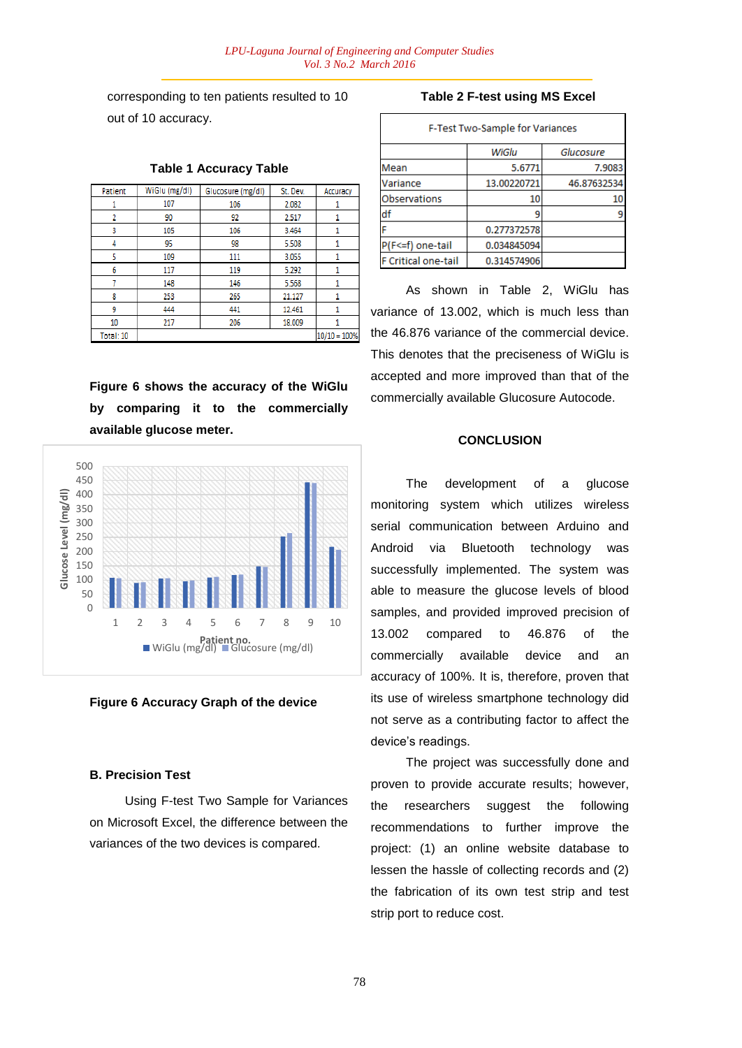corresponding to ten patients resulted to 10 out of 10 accuracy.

| Patient   | WiGlu (mg/dl) | Glucosure (mg/dl) | St. Dev. | Accuracy       |
|-----------|---------------|-------------------|----------|----------------|
|           | 107           | 106               | 2.082    |                |
| 2         | 90            | 92                | 2.517    |                |
| 3         | 105           | 106               | 3.464    |                |
| 4         | 95            | 98                | 5.508    |                |
| 5         | 109           | 111               | 3.055    |                |
| 6         | 117           | 119               | 5.292    |                |
| 7         | 148           | 146               | 5.568    |                |
| 8         | 253           | 265               | 21.127   |                |
| 9         | 444           | 441               | 12.461   |                |
| 10        | 217           | 206               | 18.009   |                |
| Total: 10 |               |                   |          | $10/10 = 100%$ |

## **Table 1 Accuracy Table**

**Figure 6 shows the accuracy of the WiGlu by comparing it to the commercially available glucose meter.**



#### **Figure 6 Accuracy Graph of the device**

#### **B. Precision Test**

Using F-test Two Sample for Variances on Microsoft Excel, the difference between the variances of the two devices is compared.

#### **Table 2 F-test using MS Excel**

| F-Test Two-Sample for Variances |             |             |  |  |  |
|---------------------------------|-------------|-------------|--|--|--|
|                                 | WiGlu       | Glucosure   |  |  |  |
| Mean                            | 5.6771      | 7.9083      |  |  |  |
| Variance                        | 13.00220721 | 46.87632534 |  |  |  |
| Observations                    | 10          | 10          |  |  |  |
| df                              |             | ٩           |  |  |  |
|                                 | 0.277372578 |             |  |  |  |
| P(F<=f) one-tail                | 0.034845094 |             |  |  |  |
| F Critical one-tail             | 0.314574906 |             |  |  |  |

As shown in Table 2, WiGlu has variance of 13.002, which is much less than the 46.876 variance of the commercial device. This denotes that the preciseness of WiGlu is accepted and more improved than that of the commercially available Glucosure Autocode.

#### **CONCLUSION**

The development of a glucose monitoring system which utilizes wireless serial communication between Arduino and Android via Bluetooth technology was successfully implemented. The system was able to measure the glucose levels of blood samples, and provided improved precision of 13.002 compared to 46.876 of the commercially available device and an accuracy of 100%. It is, therefore, proven that its use of wireless smartphone technology did not serve as a contributing factor to affect the device's readings.

The project was successfully done and proven to provide accurate results; however, the researchers suggest the following recommendations to further improve the project: (1) an online website database to lessen the hassle of collecting records and (2) the fabrication of its own test strip and test strip port to reduce cost.